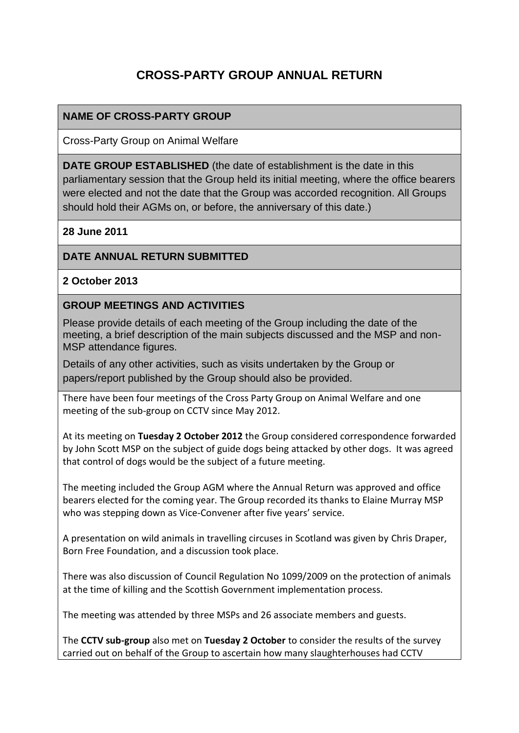# **CROSS-PARTY GROUP ANNUAL RETURN**

# **NAME OF CROSS-PARTY GROUP**

Cross-Party Group on Animal Welfare

**DATE GROUP ESTABLISHED** (the date of establishment is the date in this parliamentary session that the Group held its initial meeting, where the office bearers were elected and not the date that the Group was accorded recognition. All Groups should hold their AGMs on, or before, the anniversary of this date.)

**28 June 2011**

# **DATE ANNUAL RETURN SUBMITTED**

### **2 October 2013**

#### **GROUP MEETINGS AND ACTIVITIES**

Please provide details of each meeting of the Group including the date of the meeting, a brief description of the main subjects discussed and the MSP and non-MSP attendance figures.

Details of any other activities, such as visits undertaken by the Group or papers/report published by the Group should also be provided.

There have been four meetings of the Cross Party Group on Animal Welfare and one meeting of the sub-group on CCTV since May 2012.

At its meeting on **Tuesday 2 October 2012** the Group considered correspondence forwarded by John Scott MSP on the subject of guide dogs being attacked by other dogs. It was agreed that control of dogs would be the subject of a future meeting.

The meeting included the Group AGM where the Annual Return was approved and office bearers elected for the coming year. The Group recorded its thanks to Elaine Murray MSP who was stepping down as Vice-Convener after five years' service.

A presentation on wild animals in travelling circuses in Scotland was given by Chris Draper, Born Free Foundation, and a discussion took place.

There was also discussion of Council Regulation No 1099/2009 on the protection of animals at the time of killing and the Scottish Government implementation process.

The meeting was attended by three MSPs and 26 associate members and guests.

The **CCTV sub-group** also met on **Tuesday 2 October** to consider the results of the survey carried out on behalf of the Group to ascertain how many slaughterhouses had CCTV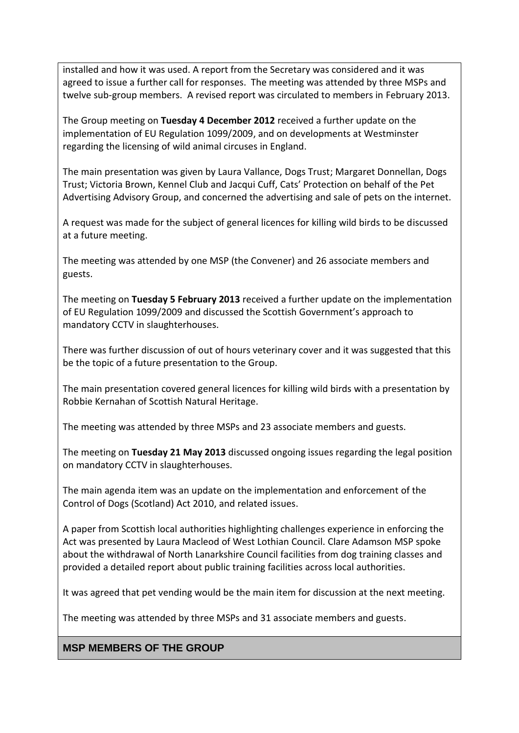installed and how it was used. A report from the Secretary was considered and it was agreed to issue a further call for responses. The meeting was attended by three MSPs and twelve sub-group members. A revised report was circulated to members in February 2013.

The Group meeting on **Tuesday 4 December 2012** received a further update on the implementation of EU Regulation 1099/2009, and on developments at Westminster regarding the licensing of wild animal circuses in England.

The main presentation was given by Laura Vallance, Dogs Trust; Margaret Donnellan, Dogs Trust; Victoria Brown, Kennel Club and Jacqui Cuff, Cats' Protection on behalf of the Pet Advertising Advisory Group, and concerned the advertising and sale of pets on the internet.

A request was made for the subject of general licences for killing wild birds to be discussed at a future meeting.

The meeting was attended by one MSP (the Convener) and 26 associate members and guests.

The meeting on **Tuesday 5 February 2013** received a further update on the implementation of EU Regulation 1099/2009 and discussed the Scottish Government's approach to mandatory CCTV in slaughterhouses.

There was further discussion of out of hours veterinary cover and it was suggested that this be the topic of a future presentation to the Group.

The main presentation covered general licences for killing wild birds with a presentation by Robbie Kernahan of Scottish Natural Heritage.

The meeting was attended by three MSPs and 23 associate members and guests.

The meeting on **Tuesday 21 May 2013** discussed ongoing issues regarding the legal position on mandatory CCTV in slaughterhouses.

The main agenda item was an update on the implementation and enforcement of the Control of Dogs (Scotland) Act 2010, and related issues.

A paper from Scottish local authorities highlighting challenges experience in enforcing the Act was presented by Laura Macleod of West Lothian Council. Clare Adamson MSP spoke about the withdrawal of North Lanarkshire Council facilities from dog training classes and provided a detailed report about public training facilities across local authorities.

It was agreed that pet vending would be the main item for discussion at the next meeting.

The meeting was attended by three MSPs and 31 associate members and guests.

# **MSP MEMBERS OF THE GROUP**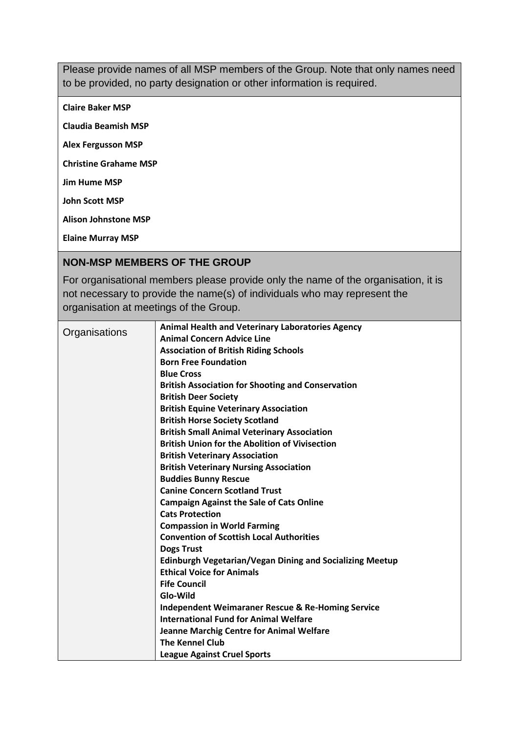Please provide names of all MSP members of the Group. Note that only names need to be provided, no party designation or other information is required.

**Claire Baker MSP**

**Claudia Beamish MSP**

**Alex Fergusson MSP** 

**Christine Grahame MSP**

**Jim Hume MSP**

**John Scott MSP**

**Alison Johnstone MSP**

**Elaine Murray MSP**

#### **NON-MSP MEMBERS OF THE GROUP**

For organisational members please provide only the name of the organisation, it is not necessary to provide the name(s) of individuals who may represent the organisation at meetings of the Group.

| Organisations | <b>Animal Health and Veterinary Laboratories Agency</b>         |
|---------------|-----------------------------------------------------------------|
|               | <b>Animal Concern Advice Line</b>                               |
|               | <b>Association of British Riding Schools</b>                    |
|               | <b>Born Free Foundation</b>                                     |
|               | <b>Blue Cross</b>                                               |
|               | <b>British Association for Shooting and Conservation</b>        |
|               | <b>British Deer Society</b>                                     |
|               | <b>British Equine Veterinary Association</b>                    |
|               | <b>British Horse Society Scotland</b>                           |
|               | <b>British Small Animal Veterinary Association</b>              |
|               | <b>British Union for the Abolition of Vivisection</b>           |
|               | <b>British Veterinary Association</b>                           |
|               | <b>British Veterinary Nursing Association</b>                   |
|               | <b>Buddies Bunny Rescue</b>                                     |
|               | <b>Canine Concern Scotland Trust</b>                            |
|               | <b>Campaign Against the Sale of Cats Online</b>                 |
|               | <b>Cats Protection</b>                                          |
|               | <b>Compassion in World Farming</b>                              |
|               | <b>Convention of Scottish Local Authorities</b>                 |
|               | <b>Dogs Trust</b>                                               |
|               | <b>Edinburgh Vegetarian/Vegan Dining and Socializing Meetup</b> |
|               | <b>Ethical Voice for Animals</b>                                |
|               | <b>Fife Council</b>                                             |
|               | Glo-Wild                                                        |
|               | <b>Independent Weimaraner Rescue &amp; Re-Homing Service</b>    |
|               | <b>International Fund for Animal Welfare</b>                    |
|               | <b>Jeanne Marchig Centre for Animal Welfare</b>                 |
|               | <b>The Kennel Club</b>                                          |
|               | <b>League Against Cruel Sports</b>                              |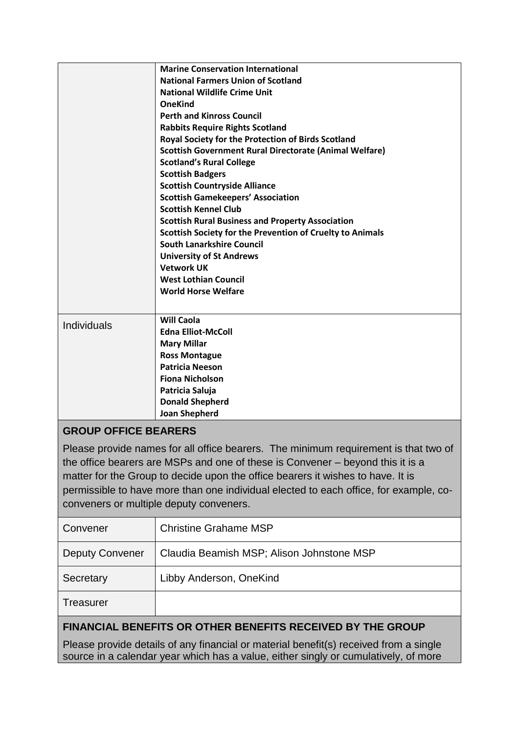|                                                                                     | <b>Marine Conservation International</b>                                       |  |
|-------------------------------------------------------------------------------------|--------------------------------------------------------------------------------|--|
|                                                                                     | <b>National Farmers Union of Scotland</b>                                      |  |
|                                                                                     | <b>National Wildlife Crime Unit</b>                                            |  |
|                                                                                     | <b>OneKind</b>                                                                 |  |
|                                                                                     | <b>Perth and Kinross Council</b>                                               |  |
|                                                                                     | <b>Rabbits Require Rights Scotland</b>                                         |  |
|                                                                                     | Royal Society for the Protection of Birds Scotland                             |  |
|                                                                                     | <b>Scottish Government Rural Directorate (Animal Welfare)</b>                  |  |
|                                                                                     | <b>Scotland's Rural College</b>                                                |  |
|                                                                                     | <b>Scottish Badgers</b>                                                        |  |
|                                                                                     | <b>Scottish Countryside Alliance</b>                                           |  |
|                                                                                     | <b>Scottish Gamekeepers' Association</b>                                       |  |
|                                                                                     | <b>Scottish Kennel Club</b>                                                    |  |
|                                                                                     | <b>Scottish Rural Business and Property Association</b>                        |  |
|                                                                                     | Scottish Society for the Prevention of Cruelty to Animals                      |  |
|                                                                                     | <b>South Lanarkshire Council</b>                                               |  |
|                                                                                     | <b>University of St Andrews</b>                                                |  |
|                                                                                     | <b>Vetwork UK</b>                                                              |  |
|                                                                                     | <b>West Lothian Council</b>                                                    |  |
|                                                                                     | <b>World Horse Welfare</b>                                                     |  |
|                                                                                     |                                                                                |  |
| Individuals                                                                         | <b>Will Caola</b>                                                              |  |
|                                                                                     | <b>Edna Elliot-McColl</b>                                                      |  |
|                                                                                     | <b>Mary Millar</b>                                                             |  |
|                                                                                     | <b>Ross Montague</b>                                                           |  |
|                                                                                     | <b>Patricia Neeson</b>                                                         |  |
|                                                                                     | <b>Fiona Nicholson</b>                                                         |  |
|                                                                                     | Patricia Saluja                                                                |  |
|                                                                                     | <b>Donald Shepherd</b>                                                         |  |
|                                                                                     | <b>Joan Shepherd</b>                                                           |  |
| <b>GROUP OFFICE BEARERS</b>                                                         |                                                                                |  |
| Please provide names for all office bearers. The minimum requirement is that two of |                                                                                |  |
|                                                                                     | the office bearers are MSPs and one of these is Convener – beyond this it is a |  |
|                                                                                     |                                                                                |  |
| matter for the Croup to decide upon the office begrers it wishes to have It is      |                                                                                |  |

the office bearers it wishes to ha permissible to have more than one individual elected to each office, for example, coconveners or multiple deputy conveners.

| Convener                                                   | <b>Christine Grahame MSP</b>              |  |
|------------------------------------------------------------|-------------------------------------------|--|
| <b>Deputy Convener</b>                                     | Claudia Beamish MSP; Alison Johnstone MSP |  |
| Secretary                                                  | Libby Anderson, OneKind                   |  |
| Treasurer                                                  |                                           |  |
| FINANCIAL BENEFITS OR OTHER BENEFITS RECEIVED BY THE GROUP |                                           |  |

Please provide details of any financial or material benefit(s) received from a single source in a calendar year which has a value, either singly or cumulatively, of more